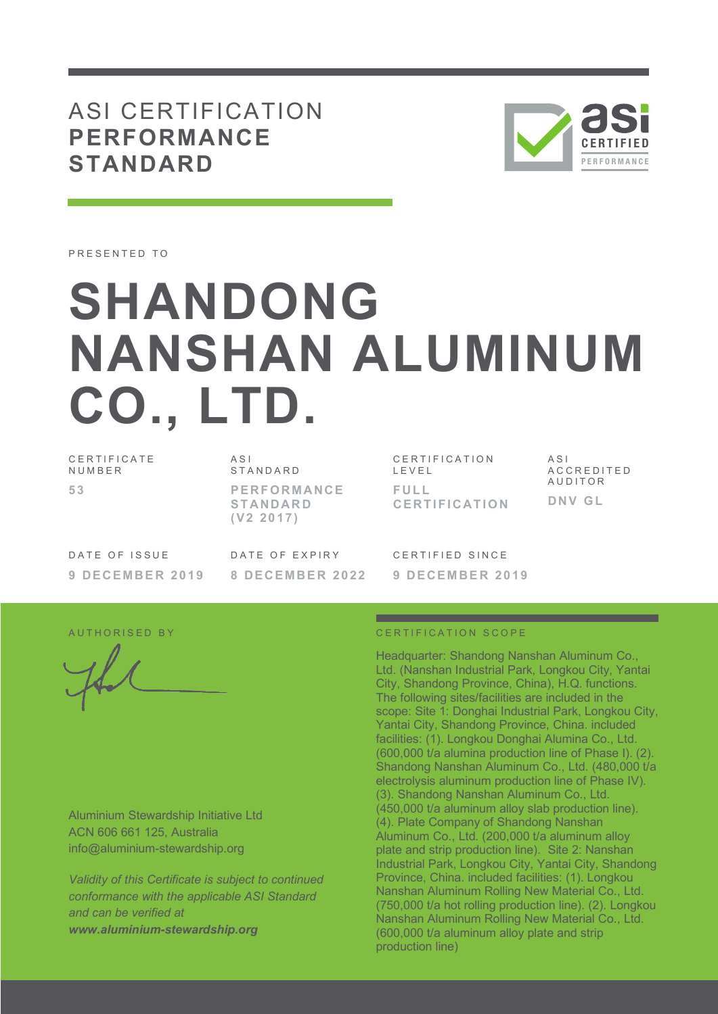## ASI CERTIFICATION **PERFORMANCE STANDARD**



PRESENTED TO

# **SHANDONG NANSHAN ALUMINUM CO., LTD.**

CERTIFICATE NUMBER **53**

ASI STANDARD **PERFORMANCE STANDARD (V2 2017)**

CERTIFICATION LEVEL **FULL CERTIFICATION**

ASI ACCREDITED AUDITOR **DNV GL**

DATE OF ISSUE **9 DECEMBER 2019** DATE OF EXPIRY **8 DECEMBER 2022** CERTIFIED SINCE **9 DECEMBER 2019**

Aluminium Stewardship Initiative Ltd ACN 606 661 125, Australia info@aluminium-stewardship.org

*Validity of this Certificate is subject to continued conformance with the applicable ASI Standard and can be verified at www.aluminium-stewardship.org*

#### AUTHORISED BY CERTIFICATION SCOPE

Headquarter: Shandong Nanshan Aluminum Co., Ltd. (Nanshan Industrial Park, Longkou City, Yantai City, Shandong Province, China), H.Q. functions. The following sites/facilities are included in the scope: Site 1: Donghai Industrial Park, Longkou City, Yantai City, Shandong Province, China. included facilities: (1). Longkou Donghai Alumina Co., Ltd. (600,000 t/a alumina production line of Phase I). (2). Shandong Nanshan Aluminum Co., Ltd. (480,000 t/a electrolysis aluminum production line of Phase IV). (3). Shandong Nanshan Aluminum Co., Ltd. (450,000 t/a aluminum alloy slab production line). (4). Plate Company of Shandong Nanshan Aluminum Co., Ltd. (200,000 t/a aluminum alloy plate and strip production line). Site 2: Nanshan Industrial Park, Longkou City, Yantai City, Shandong Province, China. included facilities: (1). Longkou Nanshan Aluminum Rolling New Material Co., Ltd. (750,000 t/a hot rolling production line). (2). Longkou Nanshan Aluminum Rolling New Material Co., Ltd. (600,000 t/a aluminum alloy plate and strip production line)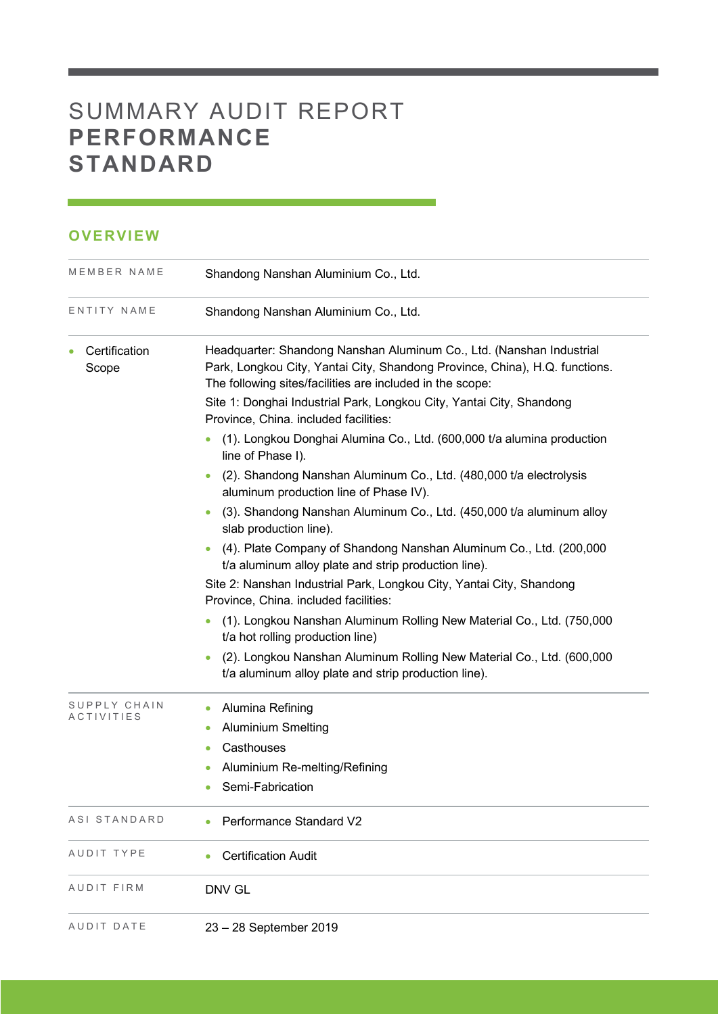# SUMMARY AUDIT REPORT **PERFORMANCE STANDARD**

### **OVERVIEW**

| MEMBER NAME                | Shandong Nanshan Aluminium Co., Ltd.                                                                                                                                                                             |
|----------------------------|------------------------------------------------------------------------------------------------------------------------------------------------------------------------------------------------------------------|
| ENTITY NAME                | Shandong Nanshan Aluminium Co., Ltd.                                                                                                                                                                             |
| Certification<br>Scope     | Headquarter: Shandong Nanshan Aluminum Co., Ltd. (Nanshan Industrial<br>Park, Longkou City, Yantai City, Shandong Province, China), H.Q. functions.<br>The following sites/facilities are included in the scope: |
|                            | Site 1: Donghai Industrial Park, Longkou City, Yantai City, Shandong<br>Province, China. included facilities:                                                                                                    |
|                            | (1). Longkou Donghai Alumina Co., Ltd. (600,000 t/a alumina production<br>line of Phase I).                                                                                                                      |
|                            | (2). Shandong Nanshan Aluminum Co., Ltd. (480,000 t/a electrolysis<br>aluminum production line of Phase IV).                                                                                                     |
|                            | (3). Shandong Nanshan Aluminum Co., Ltd. (450,000 t/a aluminum alloy<br>slab production line).                                                                                                                   |
|                            | (4). Plate Company of Shandong Nanshan Aluminum Co., Ltd. (200,000<br>t/a aluminum alloy plate and strip production line).                                                                                       |
|                            | Site 2: Nanshan Industrial Park, Longkou City, Yantai City, Shandong<br>Province, China. included facilities:                                                                                                    |
|                            | (1). Longkou Nanshan Aluminum Rolling New Material Co., Ltd. (750,000)<br>$\bullet$<br>t/a hot rolling production line)                                                                                          |
|                            | (2). Longkou Nanshan Aluminum Rolling New Material Co., Ltd. (600,000<br>t/a aluminum alloy plate and strip production line).                                                                                    |
| SUPPLY CHAIN<br>ACTIVITIES | Alumina Refining<br>$\bullet$                                                                                                                                                                                    |
|                            | <b>Aluminium Smelting</b><br>۰                                                                                                                                                                                   |
|                            | Casthouses<br>۰                                                                                                                                                                                                  |
|                            | Aluminium Re-melting/Refining                                                                                                                                                                                    |
|                            | Semi-Fabrication                                                                                                                                                                                                 |
| ASI STANDARD               | Performance Standard V2                                                                                                                                                                                          |
| AUDIT TYPE                 | <b>Certification Audit</b>                                                                                                                                                                                       |
| AUDIT FIRM                 | DNV GL                                                                                                                                                                                                           |
| AUDIT DATE                 | 23 - 28 September 2019                                                                                                                                                                                           |

<u> 1989 - Johann Barnett, mars et al. 1989 - Anna ann an t-</u>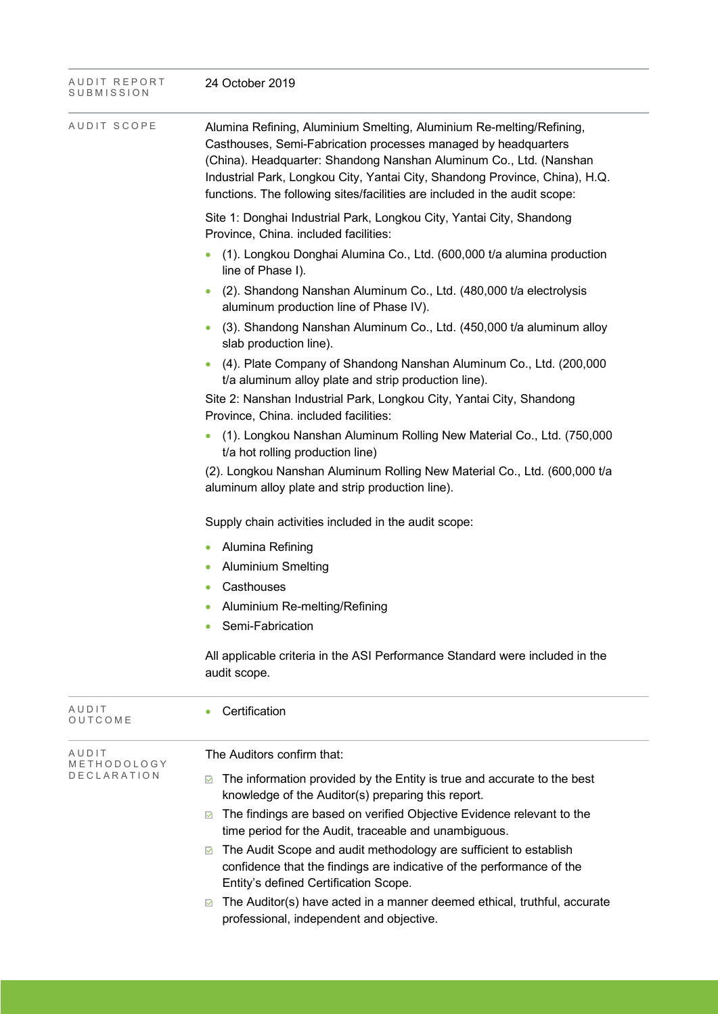| AUDIT REPORT<br>SUBMISSION | 24 October 2019                                                                                                                                                                                                                                                                                                                                                           |  |  |  |  |
|----------------------------|---------------------------------------------------------------------------------------------------------------------------------------------------------------------------------------------------------------------------------------------------------------------------------------------------------------------------------------------------------------------------|--|--|--|--|
| AUDIT SCOPE                | Alumina Refining, Aluminium Smelting, Aluminium Re-melting/Refining,<br>Casthouses, Semi-Fabrication processes managed by headquarters<br>(China). Headquarter: Shandong Nanshan Aluminum Co., Ltd. (Nanshan<br>Industrial Park, Longkou City, Yantai City, Shandong Province, China), H.Q.<br>functions. The following sites/facilities are included in the audit scope: |  |  |  |  |
|                            | Site 1: Donghai Industrial Park, Longkou City, Yantai City, Shandong<br>Province, China. included facilities:                                                                                                                                                                                                                                                             |  |  |  |  |
|                            | (1). Longkou Donghai Alumina Co., Ltd. (600,000 t/a alumina production<br>line of Phase I).                                                                                                                                                                                                                                                                               |  |  |  |  |
|                            | (2). Shandong Nanshan Aluminum Co., Ltd. (480,000 t/a electrolysis<br>aluminum production line of Phase IV).                                                                                                                                                                                                                                                              |  |  |  |  |
|                            | (3). Shandong Nanshan Aluminum Co., Ltd. (450,000 t/a aluminum alloy<br>slab production line).                                                                                                                                                                                                                                                                            |  |  |  |  |
|                            | (4). Plate Company of Shandong Nanshan Aluminum Co., Ltd. (200,000)<br>t/a aluminum alloy plate and strip production line).                                                                                                                                                                                                                                               |  |  |  |  |
|                            | Site 2: Nanshan Industrial Park, Longkou City, Yantai City, Shandong<br>Province, China. included facilities:                                                                                                                                                                                                                                                             |  |  |  |  |
|                            | (1). Longkou Nanshan Aluminum Rolling New Material Co., Ltd. (750,000<br>t/a hot rolling production line)                                                                                                                                                                                                                                                                 |  |  |  |  |
|                            | (2). Longkou Nanshan Aluminum Rolling New Material Co., Ltd. (600,000 t/a<br>aluminum alloy plate and strip production line).                                                                                                                                                                                                                                             |  |  |  |  |
|                            | Supply chain activities included in the audit scope:                                                                                                                                                                                                                                                                                                                      |  |  |  |  |
|                            | Alumina Refining<br>$\bullet$                                                                                                                                                                                                                                                                                                                                             |  |  |  |  |
|                            | <b>Aluminium Smelting</b>                                                                                                                                                                                                                                                                                                                                                 |  |  |  |  |
|                            | Casthouses                                                                                                                                                                                                                                                                                                                                                                |  |  |  |  |
|                            | Aluminium Re-melting/Refining                                                                                                                                                                                                                                                                                                                                             |  |  |  |  |
|                            | Semi-Fabrication                                                                                                                                                                                                                                                                                                                                                          |  |  |  |  |
|                            | All applicable criteria in the ASI Performance Standard were included in the<br>audit scope.                                                                                                                                                                                                                                                                              |  |  |  |  |
| AUDIT<br>OUTCOME           | Certification                                                                                                                                                                                                                                                                                                                                                             |  |  |  |  |
| AUDIT<br>METHODOLOGY       | The Auditors confirm that:                                                                                                                                                                                                                                                                                                                                                |  |  |  |  |
| D E C L A R A T I O N      | The information provided by the Entity is true and accurate to the best<br>☑<br>knowledge of the Auditor(s) preparing this report.                                                                                                                                                                                                                                        |  |  |  |  |
|                            | The findings are based on verified Objective Evidence relevant to the<br>☑<br>time period for the Audit, traceable and unambiguous.                                                                                                                                                                                                                                       |  |  |  |  |
|                            | The Audit Scope and audit methodology are sufficient to establish<br>☑<br>confidence that the findings are indicative of the performance of the<br>Entity's defined Certification Scope.                                                                                                                                                                                  |  |  |  |  |
|                            | The Auditor(s) have acted in a manner deemed ethical, truthful, accurate<br>☑<br>professional, independent and objective.                                                                                                                                                                                                                                                 |  |  |  |  |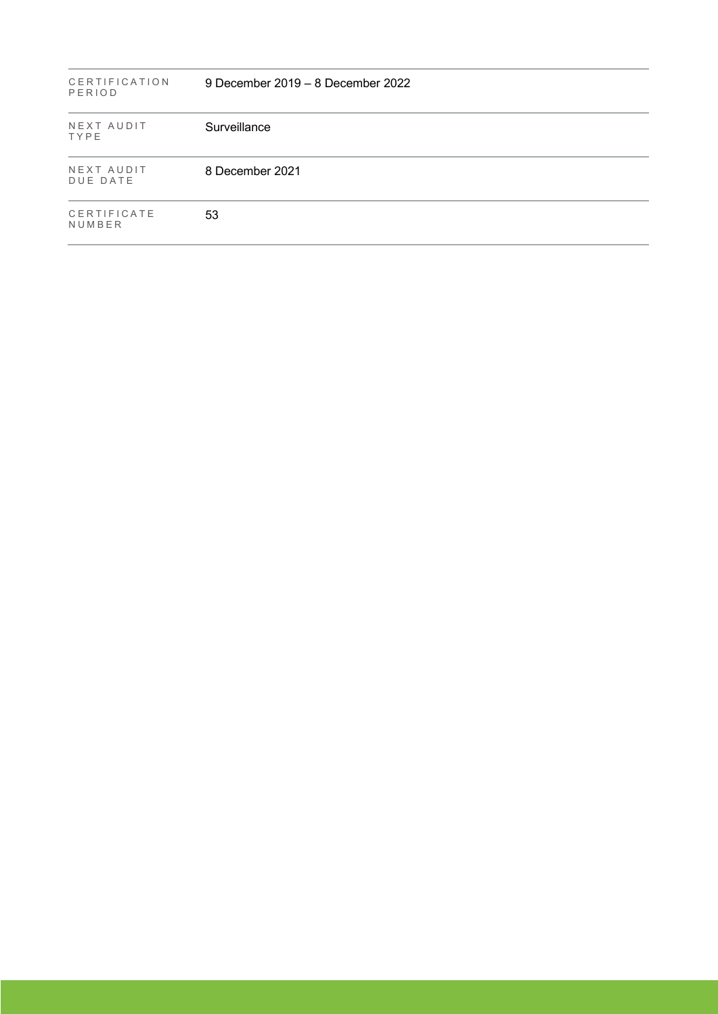| <b>CERTIFICATION</b><br>PERIOD | 9 December 2019 – 8 December 2022 |  |
|--------------------------------|-----------------------------------|--|
| NEXT AUDIT<br>TYPE             | Surveillance                      |  |
| NEXT AUDIT<br><b>DUE DATE</b>  | 8 December 2021                   |  |
| CERTIFICATE<br>NUMBER          | 53                                |  |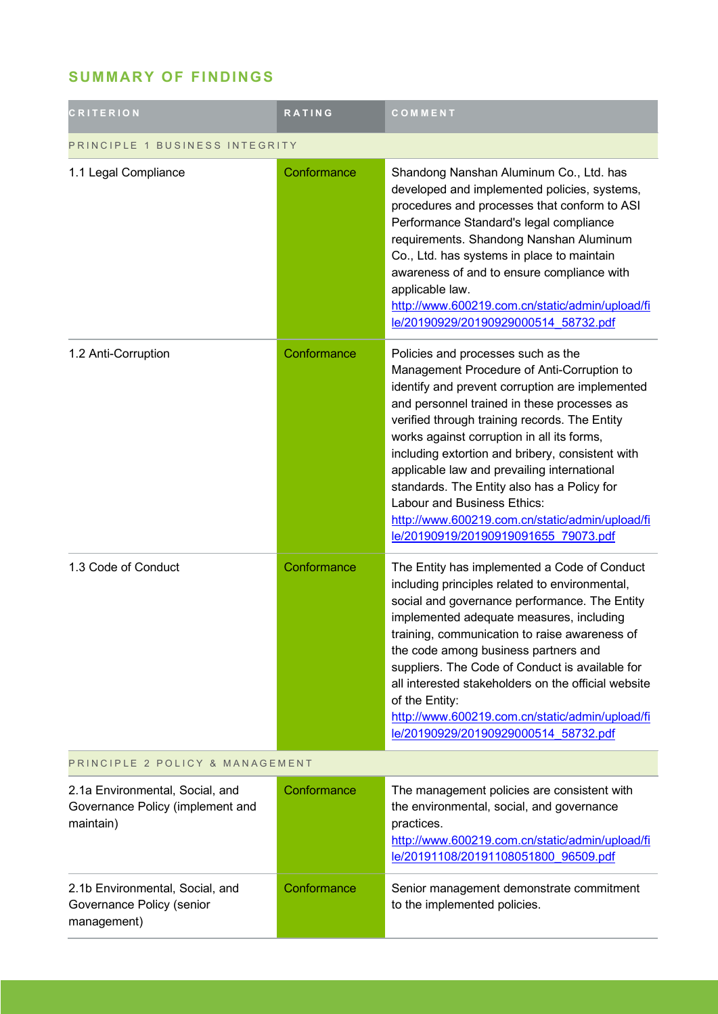### **SUMMARY OF FINDINGS**

| <b>CRITERION</b>                                                                 | <b>RATING</b> | COMMENT                                                                                                                                                                                                                                                                                                                                                                                                                                                                                                                                                       |  |
|----------------------------------------------------------------------------------|---------------|---------------------------------------------------------------------------------------------------------------------------------------------------------------------------------------------------------------------------------------------------------------------------------------------------------------------------------------------------------------------------------------------------------------------------------------------------------------------------------------------------------------------------------------------------------------|--|
| PRINCIPLE 1 BUSINESS INTEGRITY                                                   |               |                                                                                                                                                                                                                                                                                                                                                                                                                                                                                                                                                               |  |
| 1.1 Legal Compliance                                                             | Conformance   | Shandong Nanshan Aluminum Co., Ltd. has<br>developed and implemented policies, systems,<br>procedures and processes that conform to ASI<br>Performance Standard's legal compliance<br>requirements. Shandong Nanshan Aluminum<br>Co., Ltd. has systems in place to maintain<br>awareness of and to ensure compliance with<br>applicable law.<br>http://www.600219.com.cn/static/admin/upload/fi<br>le/20190929/20190929000514 58732.pdf                                                                                                                       |  |
| 1.2 Anti-Corruption                                                              | Conformance   | Policies and processes such as the<br>Management Procedure of Anti-Corruption to<br>identify and prevent corruption are implemented<br>and personnel trained in these processes as<br>verified through training records. The Entity<br>works against corruption in all its forms,<br>including extortion and bribery, consistent with<br>applicable law and prevailing international<br>standards. The Entity also has a Policy for<br>Labour and Business Ethics:<br>http://www.600219.com.cn/static/admin/upload/fi<br>le/20190919/20190919091655 79073.pdf |  |
| 1.3 Code of Conduct                                                              | Conformance   | The Entity has implemented a Code of Conduct<br>including principles related to environmental,<br>social and governance performance. The Entity<br>implemented adequate measures, including<br>training, communication to raise awareness of<br>the code among business partners and<br>suppliers. The Code of Conduct is available for<br>all interested stakeholders on the official website<br>of the Entity:<br>http://www.600219.com.cn/static/admin/upload/fi<br>le/20190929/20190929000514 58732.pdf                                                   |  |
| PRINCIPLE 2 POLICY & MANAGEMENT                                                  |               |                                                                                                                                                                                                                                                                                                                                                                                                                                                                                                                                                               |  |
| 2.1a Environmental, Social, and<br>Governance Policy (implement and<br>maintain) | Conformance   | The management policies are consistent with<br>the environmental, social, and governance<br>practices.<br>http://www.600219.com.cn/static/admin/upload/fi<br>le/20191108/20191108051800 96509.pdf                                                                                                                                                                                                                                                                                                                                                             |  |
| 2.1b Environmental, Social, and<br>Governance Policy (senior<br>management)      | Conformance   | Senior management demonstrate commitment<br>to the implemented policies.                                                                                                                                                                                                                                                                                                                                                                                                                                                                                      |  |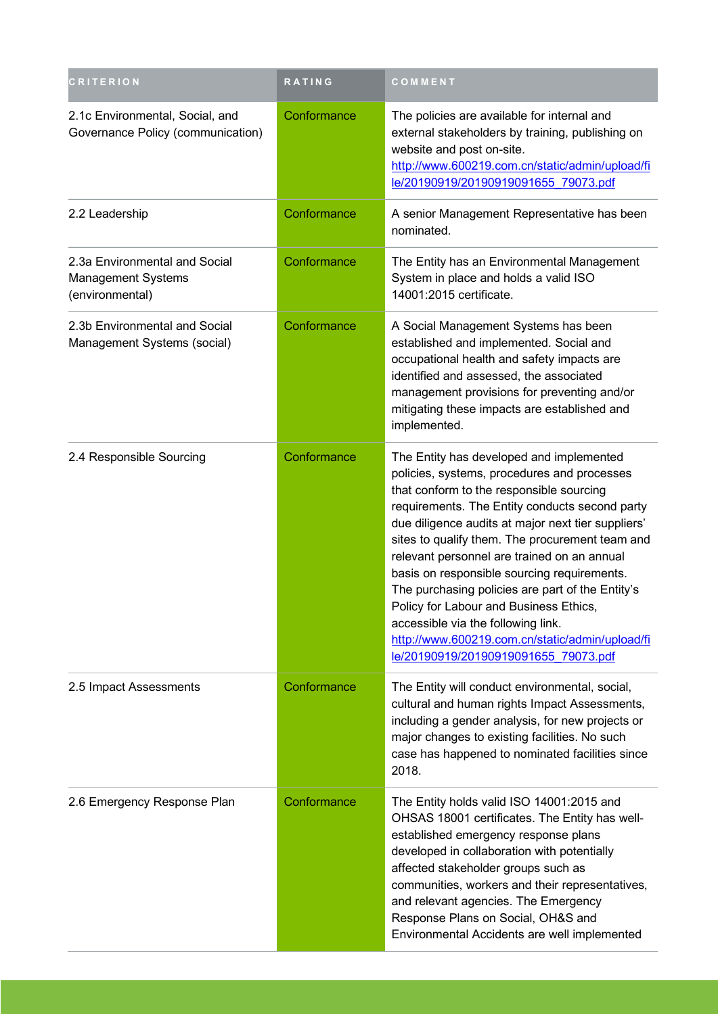| <b>CRITERION</b>                                                              | RATING      | COMMENT                                                                                                                                                                                                                                                                                                                                                                                                                                                                                                                                                                                                                    |
|-------------------------------------------------------------------------------|-------------|----------------------------------------------------------------------------------------------------------------------------------------------------------------------------------------------------------------------------------------------------------------------------------------------------------------------------------------------------------------------------------------------------------------------------------------------------------------------------------------------------------------------------------------------------------------------------------------------------------------------------|
| 2.1c Environmental, Social, and<br>Governance Policy (communication)          | Conformance | The policies are available for internal and<br>external stakeholders by training, publishing on<br>website and post on-site.<br>http://www.600219.com.cn/static/admin/upload/fi<br>le/20190919/20190919091655 79073.pdf                                                                                                                                                                                                                                                                                                                                                                                                    |
| 2.2 Leadership                                                                | Conformance | A senior Management Representative has been<br>nominated.                                                                                                                                                                                                                                                                                                                                                                                                                                                                                                                                                                  |
| 2.3a Environmental and Social<br><b>Management Systems</b><br>(environmental) | Conformance | The Entity has an Environmental Management<br>System in place and holds a valid ISO<br>14001:2015 certificate.                                                                                                                                                                                                                                                                                                                                                                                                                                                                                                             |
| 2.3b Environmental and Social<br>Management Systems (social)                  | Conformance | A Social Management Systems has been<br>established and implemented. Social and<br>occupational health and safety impacts are<br>identified and assessed, the associated<br>management provisions for preventing and/or<br>mitigating these impacts are established and<br>implemented.                                                                                                                                                                                                                                                                                                                                    |
| 2.4 Responsible Sourcing                                                      | Conformance | The Entity has developed and implemented<br>policies, systems, procedures and processes<br>that conform to the responsible sourcing<br>requirements. The Entity conducts second party<br>due diligence audits at major next tier suppliers'<br>sites to qualify them. The procurement team and<br>relevant personnel are trained on an annual<br>basis on responsible sourcing requirements.<br>The purchasing policies are part of the Entity's<br>Policy for Labour and Business Ethics<br>accessible via the following link.<br>http://www.600219.com.cn/static/admin/upload/fi<br>le/20190919/20190919091655 79073.pdf |
| 2.5 Impact Assessments                                                        | Conformance | The Entity will conduct environmental, social,<br>cultural and human rights Impact Assessments,<br>including a gender analysis, for new projects or<br>major changes to existing facilities. No such<br>case has happened to nominated facilities since<br>2018.                                                                                                                                                                                                                                                                                                                                                           |
| 2.6 Emergency Response Plan                                                   | Conformance | The Entity holds valid ISO 14001:2015 and<br>OHSAS 18001 certificates. The Entity has well-<br>established emergency response plans<br>developed in collaboration with potentially<br>affected stakeholder groups such as<br>communities, workers and their representatives,<br>and relevant agencies. The Emergency<br>Response Plans on Social, OH&S and<br>Environmental Accidents are well implemented                                                                                                                                                                                                                 |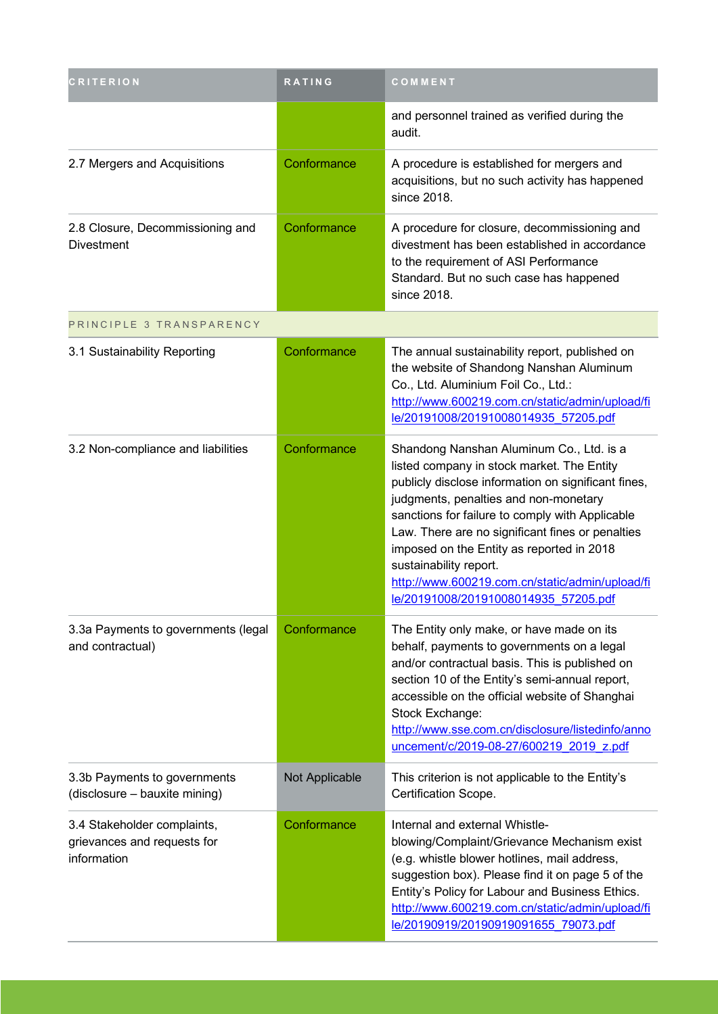| <b>CRITERION</b>                                                          | RATING         | COMMENT                                                                                                                                                                                                                                                                                                                                                                                                                                                         |
|---------------------------------------------------------------------------|----------------|-----------------------------------------------------------------------------------------------------------------------------------------------------------------------------------------------------------------------------------------------------------------------------------------------------------------------------------------------------------------------------------------------------------------------------------------------------------------|
|                                                                           |                | and personnel trained as verified during the<br>audit.                                                                                                                                                                                                                                                                                                                                                                                                          |
| 2.7 Mergers and Acquisitions                                              | Conformance    | A procedure is established for mergers and<br>acquisitions, but no such activity has happened<br>since 2018.                                                                                                                                                                                                                                                                                                                                                    |
| 2.8 Closure, Decommissioning and<br><b>Divestment</b>                     | Conformance    | A procedure for closure, decommissioning and<br>divestment has been established in accordance<br>to the requirement of ASI Performance<br>Standard. But no such case has happened<br>since 2018.                                                                                                                                                                                                                                                                |
| PRINCIPLE 3 TRANSPARENCY                                                  |                |                                                                                                                                                                                                                                                                                                                                                                                                                                                                 |
| 3.1 Sustainability Reporting                                              | Conformance    | The annual sustainability report, published on<br>the website of Shandong Nanshan Aluminum<br>Co., Ltd. Aluminium Foil Co., Ltd.:<br>http://www.600219.com.cn/static/admin/upload/fi<br>le/20191008/20191008014935 57205.pdf                                                                                                                                                                                                                                    |
| 3.2 Non-compliance and liabilities                                        | Conformance    | Shandong Nanshan Aluminum Co., Ltd. is a<br>listed company in stock market. The Entity<br>publicly disclose information on significant fines,<br>judgments, penalties and non-monetary<br>sanctions for failure to comply with Applicable<br>Law. There are no significant fines or penalties<br>imposed on the Entity as reported in 2018<br>sustainability report.<br>http://www.600219.com.cn/static/admin/upload/fi<br>le/20191008/20191008014935 57205.pdf |
| 3.3a Payments to governments (legal<br>and contractual)                   | Conformance    | The Entity only make, or have made on its<br>behalf, payments to governments on a legal<br>and/or contractual basis. This is published on<br>section 10 of the Entity's semi-annual report,<br>accessible on the official website of Shanghai<br>Stock Exchange:<br>http://www.sse.com.cn/disclosure/listedinfo/anno<br>uncement/c/2019-08-27/600219 2019 z.pdf                                                                                                 |
| 3.3b Payments to governments<br>(disclosure - bauxite mining)             | Not Applicable | This criterion is not applicable to the Entity's<br>Certification Scope.                                                                                                                                                                                                                                                                                                                                                                                        |
| 3.4 Stakeholder complaints,<br>grievances and requests for<br>information | Conformance    | Internal and external Whistle-<br>blowing/Complaint/Grievance Mechanism exist<br>(e.g. whistle blower hotlines, mail address,<br>suggestion box). Please find it on page 5 of the<br>Entity's Policy for Labour and Business Ethics.<br>http://www.600219.com.cn/static/admin/upload/fi<br>le/20190919/20190919091655 79073.pdf                                                                                                                                 |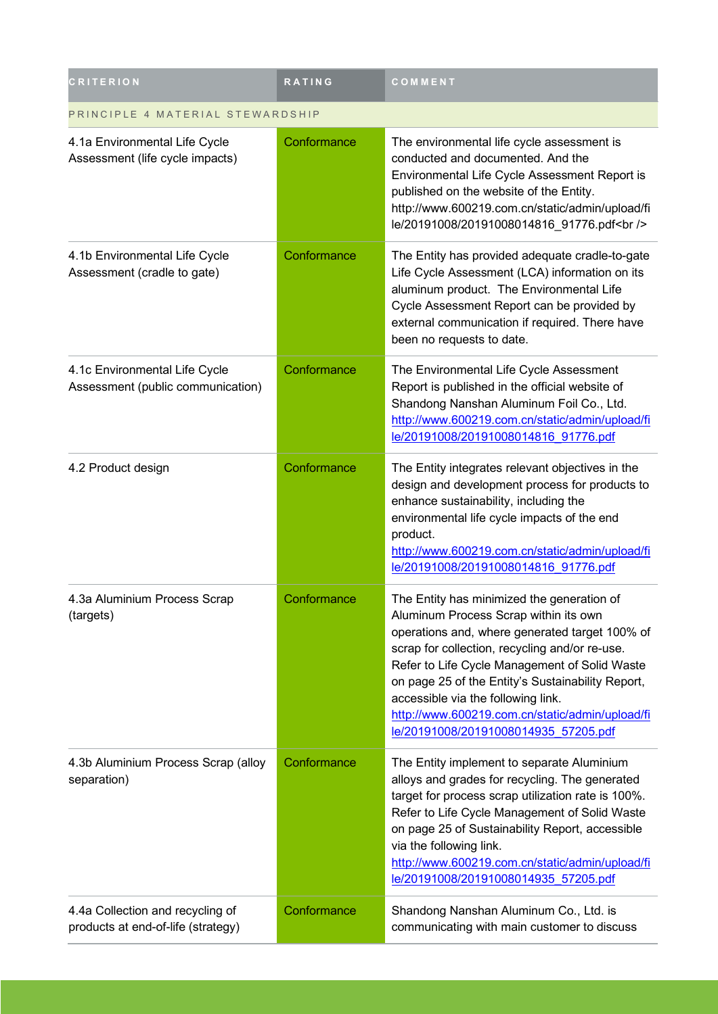| <b>CRITERION</b>                                                       | RATING      | COMMENT                                                                                                                                                                                                                                                                                                                                                                                                                        |  |
|------------------------------------------------------------------------|-------------|--------------------------------------------------------------------------------------------------------------------------------------------------------------------------------------------------------------------------------------------------------------------------------------------------------------------------------------------------------------------------------------------------------------------------------|--|
| PRINCIPLE 4 MATERIAL STEWARDSHIP                                       |             |                                                                                                                                                                                                                                                                                                                                                                                                                                |  |
| 4.1a Environmental Life Cycle<br>Assessment (life cycle impacts)       | Conformance | The environmental life cycle assessment is<br>conducted and documented. And the<br>Environmental Life Cycle Assessment Report is<br>published on the website of the Entity.<br>http://www.600219.com.cn/static/admin/upload/fi<br>le/20191008/20191008014816_91776.pdf<br>                                                                                                                                                     |  |
| 4.1b Environmental Life Cycle<br>Assessment (cradle to gate)           | Conformance | The Entity has provided adequate cradle-to-gate<br>Life Cycle Assessment (LCA) information on its<br>aluminum product. The Environmental Life<br>Cycle Assessment Report can be provided by<br>external communication if required. There have<br>been no requests to date.                                                                                                                                                     |  |
| 4.1c Environmental Life Cycle<br>Assessment (public communication)     | Conformance | The Environmental Life Cycle Assessment<br>Report is published in the official website of<br>Shandong Nanshan Aluminum Foil Co., Ltd.<br>http://www.600219.com.cn/static/admin/upload/fi<br>le/20191008/20191008014816 91776.pdf                                                                                                                                                                                               |  |
| 4.2 Product design                                                     | Conformance | The Entity integrates relevant objectives in the<br>design and development process for products to<br>enhance sustainability, including the<br>environmental life cycle impacts of the end<br>product.<br>http://www.600219.com.cn/static/admin/upload/fi<br>le/20191008/20191008014816 91776.pdf                                                                                                                              |  |
| 4.3a Aluminium Process Scrap<br>(targets)                              | Conformance | The Entity has minimized the generation of<br>Aluminum Process Scrap within its own<br>operations and, where generated target 100% of<br>scrap for collection, recycling and/or re-use.<br>Refer to Life Cycle Management of Solid Waste<br>on page 25 of the Entity's Sustainability Report,<br>accessible via the following link.<br>http://www.600219.com.cn/static/admin/upload/fi<br>le/20191008/20191008014935 57205.pdf |  |
| 4.3b Aluminium Process Scrap (alloy<br>separation)                     | Conformance | The Entity implement to separate Aluminium<br>alloys and grades for recycling. The generated<br>target for process scrap utilization rate is 100%.<br>Refer to Life Cycle Management of Solid Waste<br>on page 25 of Sustainability Report, accessible<br>via the following link.<br>http://www.600219.com.cn/static/admin/upload/fi<br>le/20191008/20191008014935 57205.pdf                                                   |  |
| 4.4a Collection and recycling of<br>products at end-of-life (strategy) | Conformance | Shandong Nanshan Aluminum Co., Ltd. is<br>communicating with main customer to discuss                                                                                                                                                                                                                                                                                                                                          |  |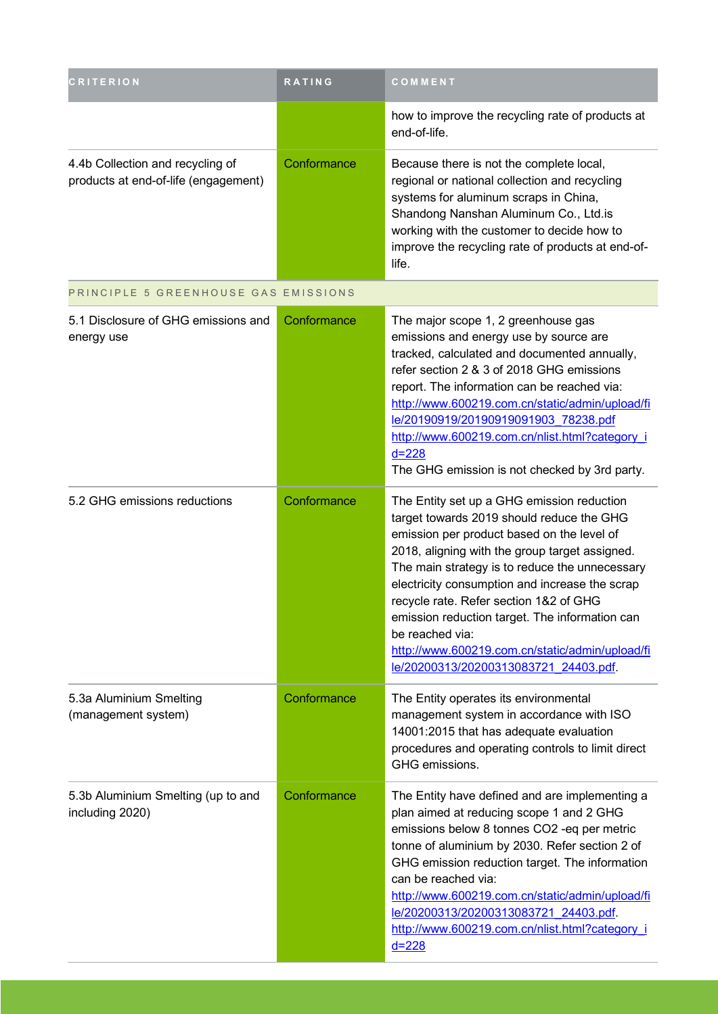| CRITERION                                                                | <b>RATING</b> | COMMENT                                                                                                                                                                                                                                                                                                                                                                                                                                                                                                |
|--------------------------------------------------------------------------|---------------|--------------------------------------------------------------------------------------------------------------------------------------------------------------------------------------------------------------------------------------------------------------------------------------------------------------------------------------------------------------------------------------------------------------------------------------------------------------------------------------------------------|
|                                                                          |               | how to improve the recycling rate of products at<br>end-of-life.                                                                                                                                                                                                                                                                                                                                                                                                                                       |
| 4.4b Collection and recycling of<br>products at end-of-life (engagement) | Conformance   | Because there is not the complete local,<br>regional or national collection and recycling<br>systems for aluminum scraps in China,<br>Shandong Nanshan Aluminum Co., Ltd.is<br>working with the customer to decide how to<br>improve the recycling rate of products at end-of-<br>life.                                                                                                                                                                                                                |
| PRINCIPLE 5 GREENHOUSE GAS EMISSIONS                                     |               |                                                                                                                                                                                                                                                                                                                                                                                                                                                                                                        |
| 5.1 Disclosure of GHG emissions and<br>energy use                        | Conformance   | The major scope 1, 2 greenhouse gas<br>emissions and energy use by source are<br>tracked, calculated and documented annually,<br>refer section 2 & 3 of 2018 GHG emissions<br>report. The information can be reached via:<br>http://www.600219.com.cn/static/admin/upload/fi<br>le/20190919/20190919091903 78238.pdf<br>http://www.600219.com.cn/nlist.html?category_i<br>$d = 228$<br>The GHG emission is not checked by 3rd party.                                                                   |
| 5.2 GHG emissions reductions                                             | Conformance   | The Entity set up a GHG emission reduction<br>target towards 2019 should reduce the GHG<br>emission per product based on the level of<br>2018, aligning with the group target assigned.<br>The main strategy is to reduce the unnecessary<br>electricity consumption and increase the scrap<br>recycle rate. Refer section 1&2 of GHG<br>emission reduction target. The information can<br>be reached via:<br>http://www.600219.com.cn/static/admin/upload/fi<br>le/20200313/20200313083721 24403.pdf. |
| 5.3a Aluminium Smelting<br>(management system)                           | Conformance   | The Entity operates its environmental<br>management system in accordance with ISO<br>14001:2015 that has adequate evaluation<br>procedures and operating controls to limit direct<br>GHG emissions.                                                                                                                                                                                                                                                                                                    |
| 5.3b Aluminium Smelting (up to and<br>including 2020)                    | Conformance   | The Entity have defined and are implementing a<br>plan aimed at reducing scope 1 and 2 GHG<br>emissions below 8 tonnes CO2 -eq per metric<br>tonne of aluminium by 2030. Refer section 2 of<br>GHG emission reduction target. The information<br>can be reached via:<br>http://www.600219.com.cn/static/admin/upload/fi<br>le/20200313/20200313083721_24403.pdf.<br>http://www.600219.com.cn/nlist.html?category_i<br>$d = 228$                                                                        |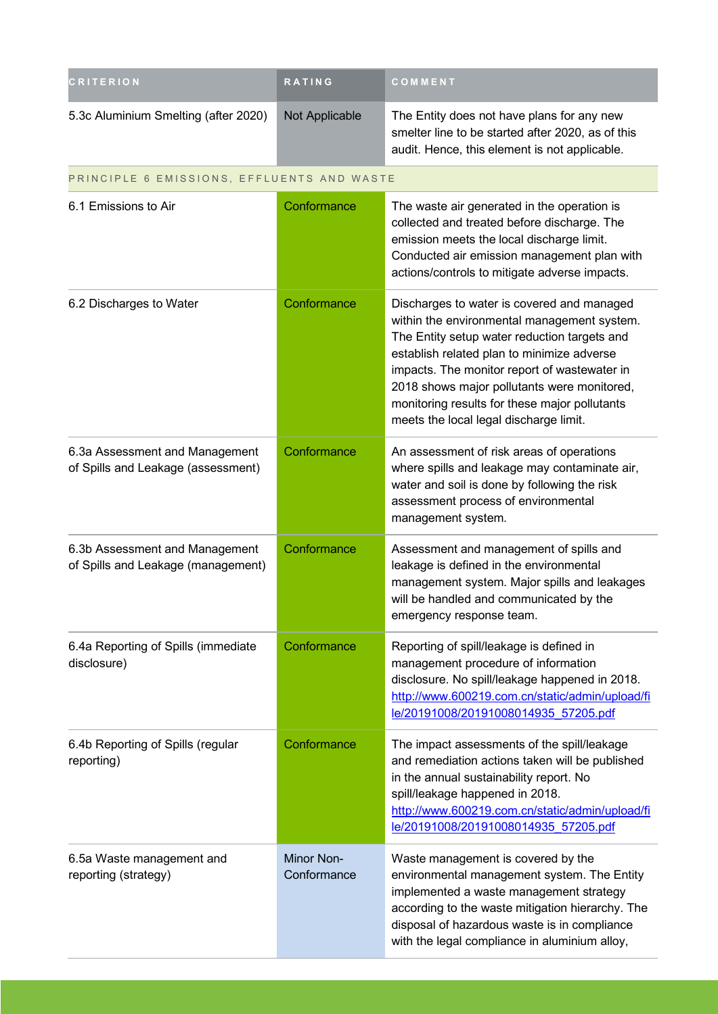| <b>CRITERION</b>                                                     | <b>RATING</b>             | COMMENT                                                                                                                                                                                                                                                                                                                                                                           |
|----------------------------------------------------------------------|---------------------------|-----------------------------------------------------------------------------------------------------------------------------------------------------------------------------------------------------------------------------------------------------------------------------------------------------------------------------------------------------------------------------------|
| 5.3c Aluminium Smelting (after 2020)                                 | Not Applicable            | The Entity does not have plans for any new<br>smelter line to be started after 2020, as of this<br>audit. Hence, this element is not applicable.                                                                                                                                                                                                                                  |
| PRINCIPLE 6 EMISSIONS, EFFLUENTS AND WASTE                           |                           |                                                                                                                                                                                                                                                                                                                                                                                   |
| 6.1 Emissions to Air                                                 | Conformance               | The waste air generated in the operation is<br>collected and treated before discharge. The<br>emission meets the local discharge limit.<br>Conducted air emission management plan with<br>actions/controls to mitigate adverse impacts.                                                                                                                                           |
| 6.2 Discharges to Water                                              | Conformance               | Discharges to water is covered and managed<br>within the environmental management system.<br>The Entity setup water reduction targets and<br>establish related plan to minimize adverse<br>impacts. The monitor report of wastewater in<br>2018 shows major pollutants were monitored,<br>monitoring results for these major pollutants<br>meets the local legal discharge limit. |
| 6.3a Assessment and Management<br>of Spills and Leakage (assessment) | Conformance               | An assessment of risk areas of operations<br>where spills and leakage may contaminate air,<br>water and soil is done by following the risk<br>assessment process of environmental<br>management system.                                                                                                                                                                           |
| 6.3b Assessment and Management<br>of Spills and Leakage (management) | Conformance               | Assessment and management of spills and<br>leakage is defined in the environmental<br>management system. Major spills and leakages<br>will be handled and communicated by the<br>emergency response team.                                                                                                                                                                         |
| 6.4a Reporting of Spills (immediate<br>disclosure)                   | Conformance               | Reporting of spill/leakage is defined in<br>management procedure of information<br>disclosure. No spill/leakage happened in 2018.<br>http://www.600219.com.cn/static/admin/upload/fi<br>le/20191008/20191008014935 57205.pdf                                                                                                                                                      |
| 6.4b Reporting of Spills (regular<br>reporting)                      | Conformance               | The impact assessments of the spill/leakage<br>and remediation actions taken will be published<br>in the annual sustainability report. No<br>spill/leakage happened in 2018.<br>http://www.600219.com.cn/static/admin/upload/fi<br>le/20191008/20191008014935 57205.pdf                                                                                                           |
| 6.5a Waste management and<br>reporting (strategy)                    | Minor Non-<br>Conformance | Waste management is covered by the<br>environmental management system. The Entity<br>implemented a waste management strategy<br>according to the waste mitigation hierarchy. The<br>disposal of hazardous waste is in compliance<br>with the legal compliance in aluminium alloy,                                                                                                 |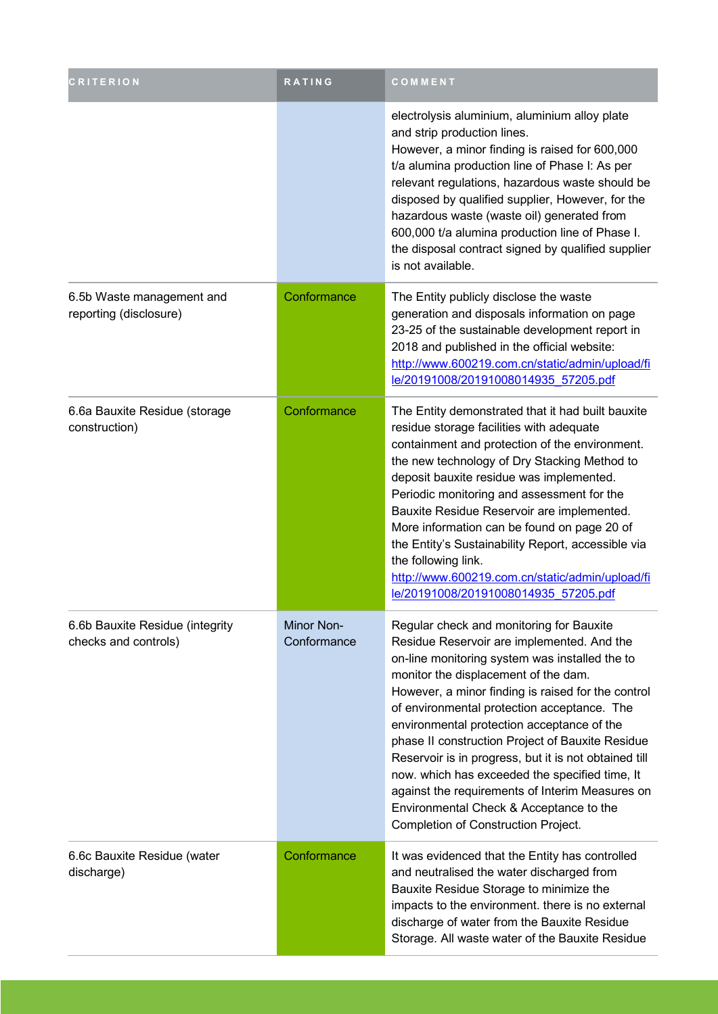| <b>CRITERION</b>                                        | RATING                    | COMMENT                                                                                                                                                                                                                                                                                                                                                                                                                                                                                                                                                                                                                                 |
|---------------------------------------------------------|---------------------------|-----------------------------------------------------------------------------------------------------------------------------------------------------------------------------------------------------------------------------------------------------------------------------------------------------------------------------------------------------------------------------------------------------------------------------------------------------------------------------------------------------------------------------------------------------------------------------------------------------------------------------------------|
|                                                         |                           | electrolysis aluminium, aluminium alloy plate<br>and strip production lines.<br>However, a minor finding is raised for 600,000<br>t/a alumina production line of Phase I: As per<br>relevant regulations, hazardous waste should be<br>disposed by qualified supplier, However, for the<br>hazardous waste (waste oil) generated from<br>600,000 t/a alumina production line of Phase I.<br>the disposal contract signed by qualified supplier<br>is not available.                                                                                                                                                                     |
| 6.5b Waste management and<br>reporting (disclosure)     | Conformance               | The Entity publicly disclose the waste<br>generation and disposals information on page<br>23-25 of the sustainable development report in<br>2018 and published in the official website:<br>http://www.600219.com.cn/static/admin/upload/fi<br>le/20191008/20191008014935 57205.pdf                                                                                                                                                                                                                                                                                                                                                      |
| 6.6a Bauxite Residue (storage<br>construction)          | Conformance               | The Entity demonstrated that it had built bauxite<br>residue storage facilities with adequate<br>containment and protection of the environment.<br>the new technology of Dry Stacking Method to<br>deposit bauxite residue was implemented.<br>Periodic monitoring and assessment for the<br>Bauxite Residue Reservoir are implemented.<br>More information can be found on page 20 of<br>the Entity's Sustainability Report, accessible via<br>the following link.<br>http://www.600219.com.cn/static/admin/upload/fi<br>le/20191008/20191008014935 57205.pdf                                                                          |
| 6.6b Bauxite Residue (integrity<br>checks and controls) | Minor Non-<br>Conformance | Regular check and monitoring for Bauxite<br>Residue Reservoir are implemented. And the<br>on-line monitoring system was installed the to<br>monitor the displacement of the dam.<br>However, a minor finding is raised for the control<br>of environmental protection acceptance. The<br>environmental protection acceptance of the<br>phase II construction Project of Bauxite Residue<br>Reservoir is in progress, but it is not obtained till<br>now. which has exceeded the specified time, It<br>against the requirements of Interim Measures on<br>Environmental Check & Acceptance to the<br>Completion of Construction Project. |
| 6.6c Bauxite Residue (water<br>discharge)               | Conformance               | It was evidenced that the Entity has controlled<br>and neutralised the water discharged from<br>Bauxite Residue Storage to minimize the<br>impacts to the environment. there is no external<br>discharge of water from the Bauxite Residue<br>Storage. All waste water of the Bauxite Residue                                                                                                                                                                                                                                                                                                                                           |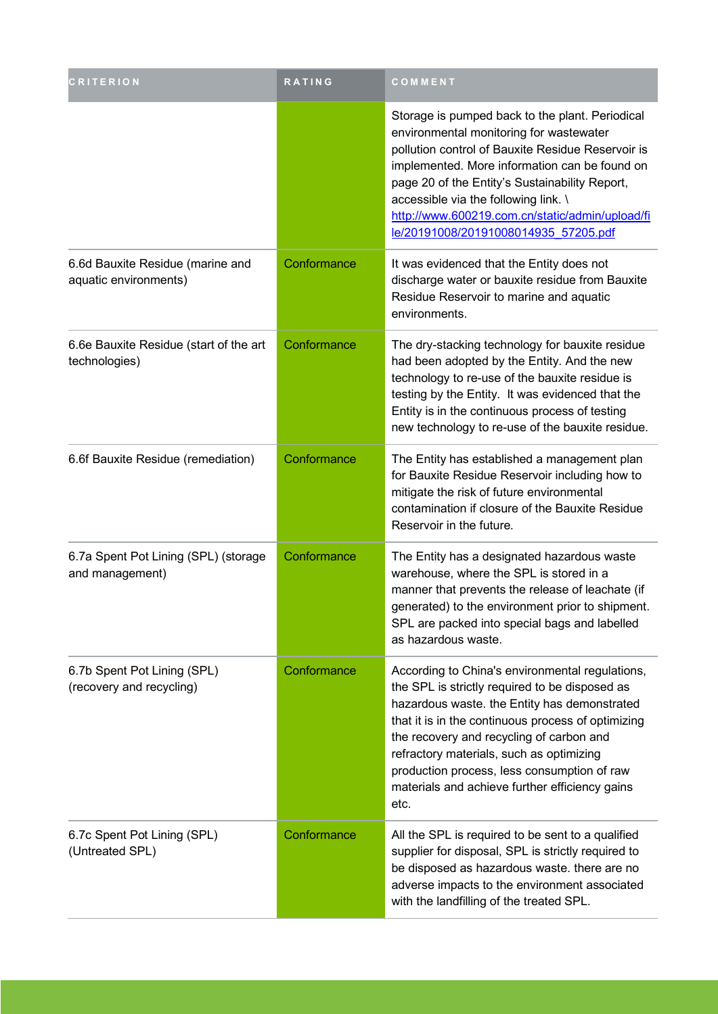| CRITERION                                                 | <b>RATING</b> | COMMENT                                                                                                                                                                                                                                                                                                                                                                                                  |
|-----------------------------------------------------------|---------------|----------------------------------------------------------------------------------------------------------------------------------------------------------------------------------------------------------------------------------------------------------------------------------------------------------------------------------------------------------------------------------------------------------|
|                                                           |               | Storage is pumped back to the plant. Periodical<br>environmental monitoring for wastewater<br>pollution control of Bauxite Residue Reservoir is<br>implemented. More information can be found on<br>page 20 of the Entity's Sustainability Report,<br>accessible via the following link. \<br>http://www.600219.com.cn/static/admin/upload/fi<br>le/20191008/20191008014935 57205.pdf                    |
| 6.6d Bauxite Residue (marine and<br>aquatic environments) | Conformance   | It was evidenced that the Entity does not<br>discharge water or bauxite residue from Bauxite<br>Residue Reservoir to marine and aquatic<br>environments.                                                                                                                                                                                                                                                 |
| 6.6e Bauxite Residue (start of the art<br>technologies)   | Conformance   | The dry-stacking technology for bauxite residue<br>had been adopted by the Entity. And the new<br>technology to re-use of the bauxite residue is<br>testing by the Entity. It was evidenced that the<br>Entity is in the continuous process of testing<br>new technology to re-use of the bauxite residue.                                                                                               |
| 6.6f Bauxite Residue (remediation)                        | Conformance   | The Entity has established a management plan<br>for Bauxite Residue Reservoir including how to<br>mitigate the risk of future environmental<br>contamination if closure of the Bauxite Residue<br>Reservoir in the future.                                                                                                                                                                               |
| 6.7a Spent Pot Lining (SPL) (storage<br>and management)   | Conformance   | The Entity has a designated hazardous waste<br>warehouse, where the SPL is stored in a<br>manner that prevents the release of leachate (if<br>generated) to the environment prior to shipment.<br>SPL are packed into special bags and labelled<br>as hazardous waste.                                                                                                                                   |
| 6.7b Spent Pot Lining (SPL)<br>(recovery and recycling)   | Conformance   | According to China's environmental regulations,<br>the SPL is strictly required to be disposed as<br>hazardous waste. the Entity has demonstrated<br>that it is in the continuous process of optimizing<br>the recovery and recycling of carbon and<br>refractory materials, such as optimizing<br>production process, less consumption of raw<br>materials and achieve further efficiency gains<br>etc. |
| 6.7c Spent Pot Lining (SPL)<br>(Untreated SPL)            | Conformance   | All the SPL is required to be sent to a qualified<br>supplier for disposal, SPL is strictly required to<br>be disposed as hazardous waste. there are no<br>adverse impacts to the environment associated<br>with the landfilling of the treated SPL.                                                                                                                                                     |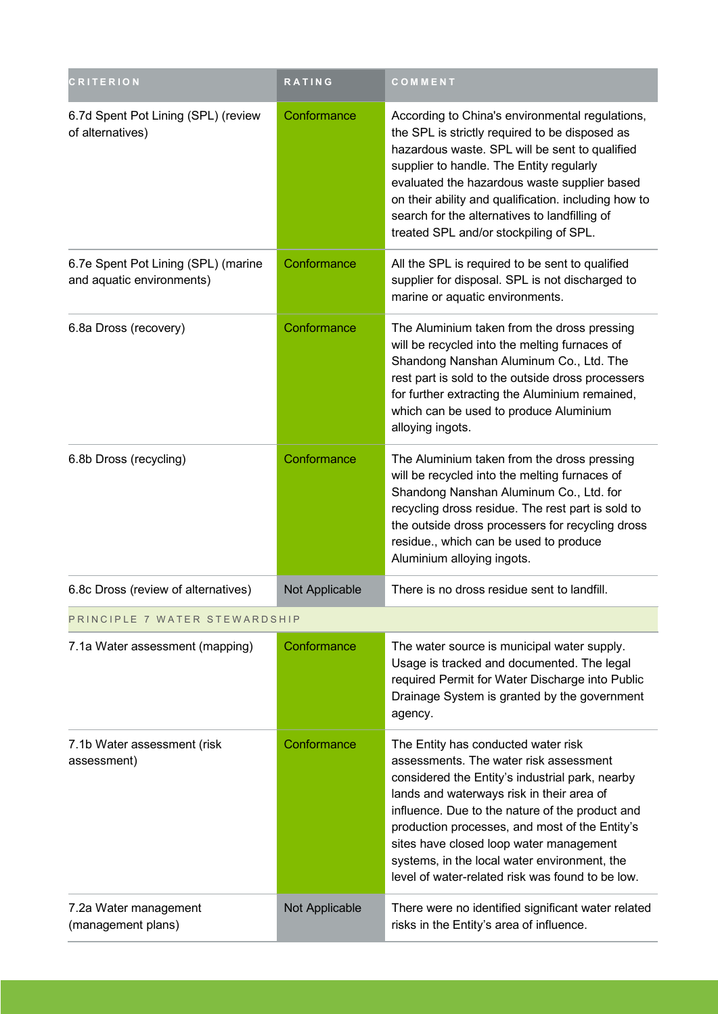| <b>CRITERION</b>                                                 | <b>RATING</b>  | COMMENT                                                                                                                                                                                                                                                                                                                                                                                                                           |
|------------------------------------------------------------------|----------------|-----------------------------------------------------------------------------------------------------------------------------------------------------------------------------------------------------------------------------------------------------------------------------------------------------------------------------------------------------------------------------------------------------------------------------------|
| 6.7d Spent Pot Lining (SPL) (review<br>of alternatives)          | Conformance    | According to China's environmental regulations,<br>the SPL is strictly required to be disposed as<br>hazardous waste. SPL will be sent to qualified<br>supplier to handle. The Entity regularly<br>evaluated the hazardous waste supplier based<br>on their ability and qualification. including how to<br>search for the alternatives to landfilling of<br>treated SPL and/or stockpiling of SPL.                                |
| 6.7e Spent Pot Lining (SPL) (marine<br>and aquatic environments) | Conformance    | All the SPL is required to be sent to qualified<br>supplier for disposal. SPL is not discharged to<br>marine or aquatic environments.                                                                                                                                                                                                                                                                                             |
| 6.8a Dross (recovery)                                            | Conformance    | The Aluminium taken from the dross pressing<br>will be recycled into the melting furnaces of<br>Shandong Nanshan Aluminum Co., Ltd. The<br>rest part is sold to the outside dross processers<br>for further extracting the Aluminium remained,<br>which can be used to produce Aluminium<br>alloying ingots.                                                                                                                      |
| 6.8b Dross (recycling)                                           | Conformance    | The Aluminium taken from the dross pressing<br>will be recycled into the melting furnaces of<br>Shandong Nanshan Aluminum Co., Ltd. for<br>recycling dross residue. The rest part is sold to<br>the outside dross processers for recycling dross<br>residue., which can be used to produce<br>Aluminium alloying ingots.                                                                                                          |
| 6.8c Dross (review of alternatives)                              | Not Applicable | There is no dross residue sent to landfill.                                                                                                                                                                                                                                                                                                                                                                                       |
| PRINCIPLE 7 WATER STEWARDSHIP                                    |                |                                                                                                                                                                                                                                                                                                                                                                                                                                   |
| 7.1a Water assessment (mapping)                                  | Conformance    | The water source is municipal water supply.<br>Usage is tracked and documented. The legal<br>required Permit for Water Discharge into Public<br>Drainage System is granted by the government<br>agency.                                                                                                                                                                                                                           |
| 7.1b Water assessment (risk<br>assessment)                       | Conformance    | The Entity has conducted water risk<br>assessments. The water risk assessment<br>considered the Entity's industrial park, nearby<br>lands and waterways risk in their area of<br>influence. Due to the nature of the product and<br>production processes, and most of the Entity's<br>sites have closed loop water management<br>systems, in the local water environment, the<br>level of water-related risk was found to be low. |
| 7.2a Water management<br>(management plans)                      | Not Applicable | There were no identified significant water related<br>risks in the Entity's area of influence.                                                                                                                                                                                                                                                                                                                                    |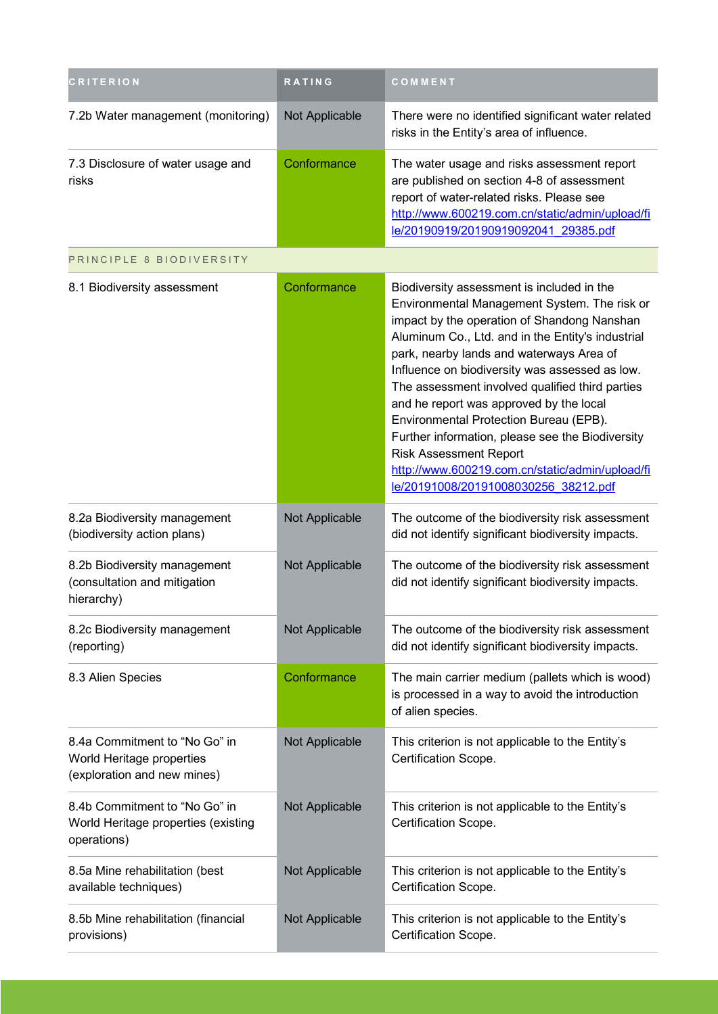| <b>RITERION</b>                                                                           | RATING         | COMMENT                                                                                                                                                                                                                                                                                                                                                                                                                                                                                                                                                                                                              |
|-------------------------------------------------------------------------------------------|----------------|----------------------------------------------------------------------------------------------------------------------------------------------------------------------------------------------------------------------------------------------------------------------------------------------------------------------------------------------------------------------------------------------------------------------------------------------------------------------------------------------------------------------------------------------------------------------------------------------------------------------|
| 7.2b Water management (monitoring)                                                        | Not Applicable | There were no identified significant water related<br>risks in the Entity's area of influence.                                                                                                                                                                                                                                                                                                                                                                                                                                                                                                                       |
| 7.3 Disclosure of water usage and<br>risks                                                | Conformance    | The water usage and risks assessment report<br>are published on section 4-8 of assessment<br>report of water-related risks. Please see<br>http://www.600219.com.cn/static/admin/upload/fi<br>le/20190919/20190919092041 29385.pdf                                                                                                                                                                                                                                                                                                                                                                                    |
| PRINCIPLE 8 BIODIVERSITY                                                                  |                |                                                                                                                                                                                                                                                                                                                                                                                                                                                                                                                                                                                                                      |
| 8.1 Biodiversity assessment                                                               | Conformance    | Biodiversity assessment is included in the<br>Environmental Management System. The risk or<br>impact by the operation of Shandong Nanshan<br>Aluminum Co., Ltd. and in the Entity's industrial<br>park, nearby lands and waterways Area of<br>Influence on biodiversity was assessed as low.<br>The assessment involved qualified third parties<br>and he report was approved by the local<br>Environmental Protection Bureau (EPB).<br>Further information, please see the Biodiversity<br><b>Risk Assessment Report</b><br>http://www.600219.com.cn/static/admin/upload/fi<br>le/20191008/20191008030256 38212.pdf |
| 8.2a Biodiversity management<br>(biodiversity action plans)                               | Not Applicable | The outcome of the biodiversity risk assessment<br>did not identify significant biodiversity impacts.                                                                                                                                                                                                                                                                                                                                                                                                                                                                                                                |
| 8.2b Biodiversity management<br>(consultation and mitigation<br>hierarchy)                | Not Applicable | The outcome of the biodiversity risk assessment<br>did not identify significant biodiversity impacts.                                                                                                                                                                                                                                                                                                                                                                                                                                                                                                                |
| 8.2c Biodiversity management<br>(reporting)                                               | Not Applicable | The outcome of the biodiversity risk assessment<br>did not identify significant biodiversity impacts.                                                                                                                                                                                                                                                                                                                                                                                                                                                                                                                |
| 8.3 Alien Species                                                                         | Conformance    | The main carrier medium (pallets which is wood)<br>is processed in a way to avoid the introduction<br>of alien species.                                                                                                                                                                                                                                                                                                                                                                                                                                                                                              |
| 8.4a Commitment to "No Go" in<br>World Heritage properties<br>(exploration and new mines) | Not Applicable | This criterion is not applicable to the Entity's<br>Certification Scope.                                                                                                                                                                                                                                                                                                                                                                                                                                                                                                                                             |
| 8.4b Commitment to "No Go" in<br>World Heritage properties (existing<br>operations)       | Not Applicable | This criterion is not applicable to the Entity's<br>Certification Scope.                                                                                                                                                                                                                                                                                                                                                                                                                                                                                                                                             |
| 8.5a Mine rehabilitation (best<br>available techniques)                                   | Not Applicable | This criterion is not applicable to the Entity's<br>Certification Scope.                                                                                                                                                                                                                                                                                                                                                                                                                                                                                                                                             |
| 8.5b Mine rehabilitation (financial<br>provisions)                                        | Not Applicable | This criterion is not applicable to the Entity's<br>Certification Scope.                                                                                                                                                                                                                                                                                                                                                                                                                                                                                                                                             |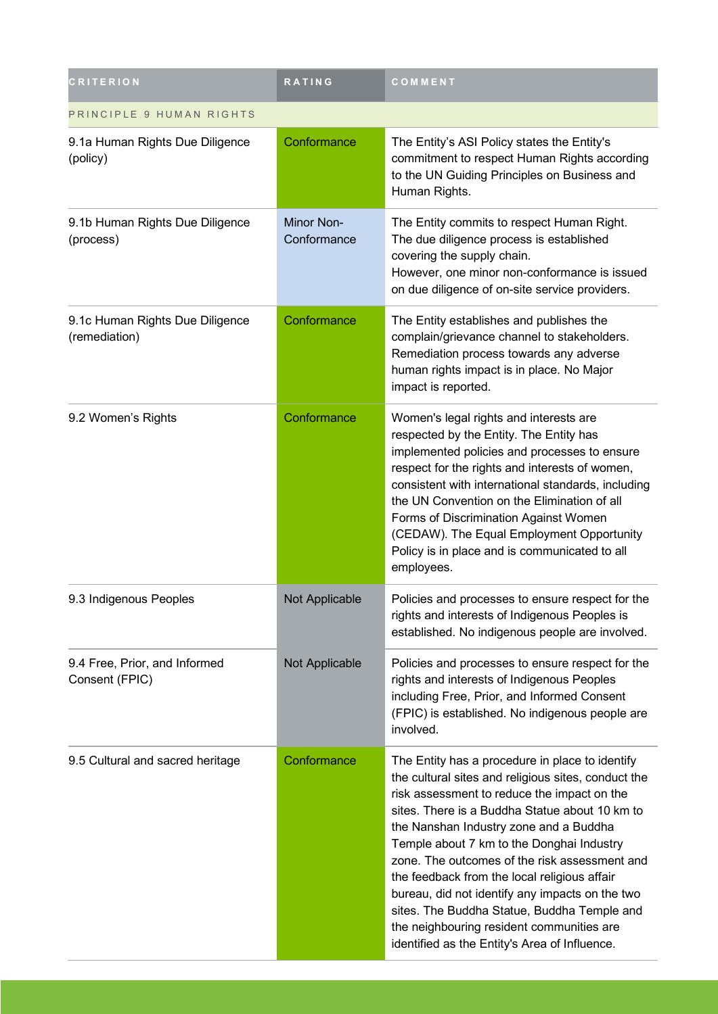| <b>CRITERION</b>                                 | RATING                    | COMMENT                                                                                                                                                                                                                                                                                                                                                                                                                                                                                                                                                                                         |
|--------------------------------------------------|---------------------------|-------------------------------------------------------------------------------------------------------------------------------------------------------------------------------------------------------------------------------------------------------------------------------------------------------------------------------------------------------------------------------------------------------------------------------------------------------------------------------------------------------------------------------------------------------------------------------------------------|
| PRINCIPLE 9 HUMAN RIGHTS                         |                           |                                                                                                                                                                                                                                                                                                                                                                                                                                                                                                                                                                                                 |
| 9.1a Human Rights Due Diligence<br>(policy)      | Conformance               | The Entity's ASI Policy states the Entity's<br>commitment to respect Human Rights according<br>to the UN Guiding Principles on Business and<br>Human Rights.                                                                                                                                                                                                                                                                                                                                                                                                                                    |
| 9.1b Human Rights Due Diligence<br>(process)     | Minor Non-<br>Conformance | The Entity commits to respect Human Right.<br>The due diligence process is established<br>covering the supply chain.<br>However, one minor non-conformance is issued<br>on due diligence of on-site service providers.                                                                                                                                                                                                                                                                                                                                                                          |
| 9.1c Human Rights Due Diligence<br>(remediation) | Conformance               | The Entity establishes and publishes the<br>complain/grievance channel to stakeholders.<br>Remediation process towards any adverse<br>human rights impact is in place. No Major<br>impact is reported.                                                                                                                                                                                                                                                                                                                                                                                          |
| 9.2 Women's Rights                               | Conformance               | Women's legal rights and interests are<br>respected by the Entity. The Entity has<br>implemented policies and processes to ensure<br>respect for the rights and interests of women,<br>consistent with international standards, including<br>the UN Convention on the Elimination of all<br>Forms of Discrimination Against Women<br>(CEDAW). The Equal Employment Opportunity<br>Policy is in place and is communicated to all<br>employees.                                                                                                                                                   |
| 9.3 Indigenous Peoples                           | Not Applicable            | Policies and processes to ensure respect for the<br>rights and interests of Indigenous Peoples is<br>established. No indigenous people are involved.                                                                                                                                                                                                                                                                                                                                                                                                                                            |
| 9.4 Free, Prior, and Informed<br>Consent (FPIC)  | Not Applicable            | Policies and processes to ensure respect for the<br>rights and interests of Indigenous Peoples<br>including Free, Prior, and Informed Consent<br>(FPIC) is established. No indigenous people are<br>involved.                                                                                                                                                                                                                                                                                                                                                                                   |
| 9.5 Cultural and sacred heritage                 | Conformance               | The Entity has a procedure in place to identify<br>the cultural sites and religious sites, conduct the<br>risk assessment to reduce the impact on the<br>sites. There is a Buddha Statue about 10 km to<br>the Nanshan Industry zone and a Buddha<br>Temple about 7 km to the Donghai Industry<br>zone. The outcomes of the risk assessment and<br>the feedback from the local religious affair<br>bureau, did not identify any impacts on the two<br>sites. The Buddha Statue, Buddha Temple and<br>the neighbouring resident communities are<br>identified as the Entity's Area of Influence. |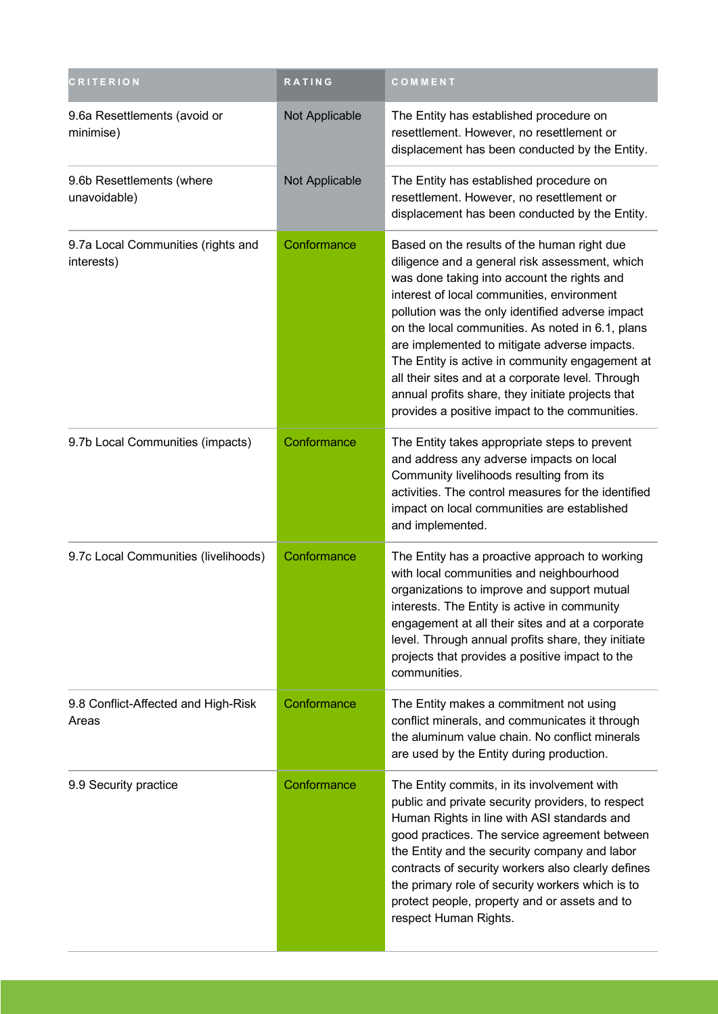| <b>CRITERION</b>                                 | <b>RATING</b>  | COMMENT                                                                                                                                                                                                                                                                                                                                                                                                                                                                                                                                                           |
|--------------------------------------------------|----------------|-------------------------------------------------------------------------------------------------------------------------------------------------------------------------------------------------------------------------------------------------------------------------------------------------------------------------------------------------------------------------------------------------------------------------------------------------------------------------------------------------------------------------------------------------------------------|
| 9.6a Resettlements (avoid or<br>minimise)        | Not Applicable | The Entity has established procedure on<br>resettlement. However, no resettlement or<br>displacement has been conducted by the Entity.                                                                                                                                                                                                                                                                                                                                                                                                                            |
| 9.6b Resettlements (where<br>unavoidable)        | Not Applicable | The Entity has established procedure on<br>resettlement. However, no resettlement or<br>displacement has been conducted by the Entity.                                                                                                                                                                                                                                                                                                                                                                                                                            |
| 9.7a Local Communities (rights and<br>interests) | Conformance    | Based on the results of the human right due<br>diligence and a general risk assessment, which<br>was done taking into account the rights and<br>interest of local communities, environment<br>pollution was the only identified adverse impact<br>on the local communities. As noted in 6.1, plans<br>are implemented to mitigate adverse impacts.<br>The Entity is active in community engagement at<br>all their sites and at a corporate level. Through<br>annual profits share, they initiate projects that<br>provides a positive impact to the communities. |
| 9.7b Local Communities (impacts)                 | Conformance    | The Entity takes appropriate steps to prevent<br>and address any adverse impacts on local<br>Community livelihoods resulting from its<br>activities. The control measures for the identified<br>impact on local communities are established<br>and implemented.                                                                                                                                                                                                                                                                                                   |
| 9.7c Local Communities (livelihoods)             | Conformance    | The Entity has a proactive approach to working<br>with local communities and neighbourhood<br>organizations to improve and support mutual<br>interests. The Entity is active in community<br>engagement at all their sites and at a corporate<br>level. Through annual profits share, they initiate<br>projects that provides a positive impact to the<br>communities.                                                                                                                                                                                            |
| 9.8 Conflict-Affected and High-Risk<br>Areas     | Conformance    | The Entity makes a commitment not using<br>conflict minerals, and communicates it through<br>the aluminum value chain. No conflict minerals<br>are used by the Entity during production.                                                                                                                                                                                                                                                                                                                                                                          |
| 9.9 Security practice                            | Conformance    | The Entity commits, in its involvement with<br>public and private security providers, to respect<br>Human Rights in line with ASI standards and<br>good practices. The service agreement between<br>the Entity and the security company and labor<br>contracts of security workers also clearly defines<br>the primary role of security workers which is to<br>protect people, property and or assets and to<br>respect Human Rights.                                                                                                                             |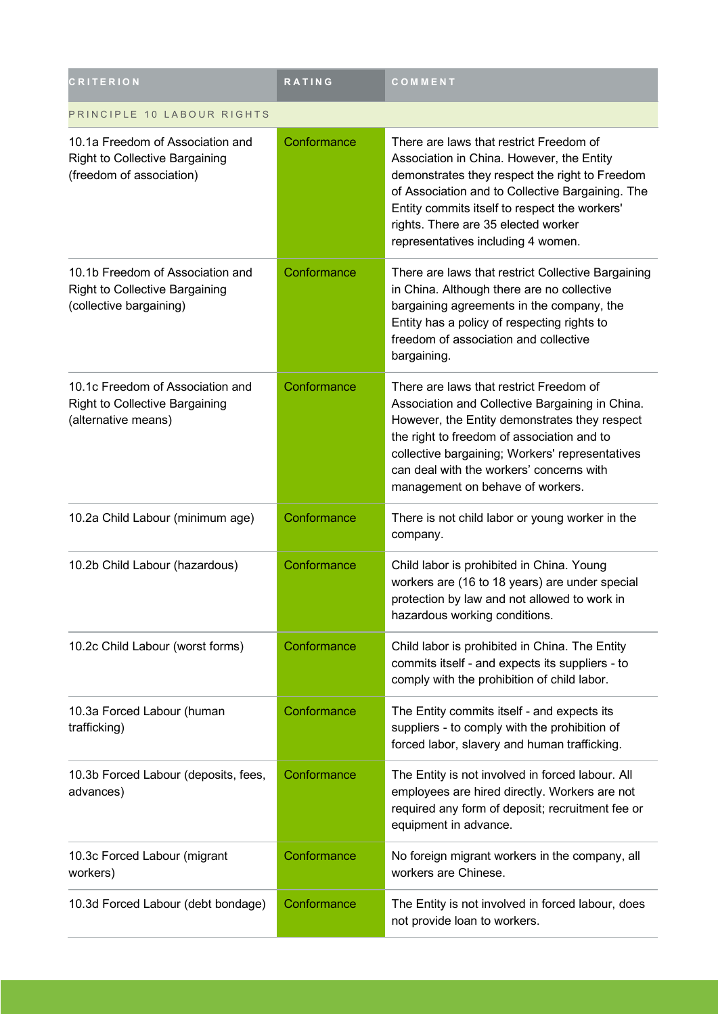| <b>CRITERION</b>                                                                                      | <b>RATING</b> | COMMENT                                                                                                                                                                                                                                                                                                                      |
|-------------------------------------------------------------------------------------------------------|---------------|------------------------------------------------------------------------------------------------------------------------------------------------------------------------------------------------------------------------------------------------------------------------------------------------------------------------------|
| PRINCIPLE 10 LABOUR RIGHTS                                                                            |               |                                                                                                                                                                                                                                                                                                                              |
| 10.1a Freedom of Association and<br><b>Right to Collective Bargaining</b><br>(freedom of association) | Conformance   | There are laws that restrict Freedom of<br>Association in China. However, the Entity<br>demonstrates they respect the right to Freedom<br>of Association and to Collective Bargaining. The<br>Entity commits itself to respect the workers'<br>rights. There are 35 elected worker<br>representatives including 4 women.     |
| 10.1b Freedom of Association and<br><b>Right to Collective Bargaining</b><br>(collective bargaining)  | Conformance   | There are laws that restrict Collective Bargaining<br>in China. Although there are no collective<br>bargaining agreements in the company, the<br>Entity has a policy of respecting rights to<br>freedom of association and collective<br>bargaining.                                                                         |
| 10.1c Freedom of Association and<br><b>Right to Collective Bargaining</b><br>(alternative means)      | Conformance   | There are laws that restrict Freedom of<br>Association and Collective Bargaining in China.<br>However, the Entity demonstrates they respect<br>the right to freedom of association and to<br>collective bargaining; Workers' representatives<br>can deal with the workers' concerns with<br>management on behave of workers. |
| 10.2a Child Labour (minimum age)                                                                      | Conformance   | There is not child labor or young worker in the<br>company.                                                                                                                                                                                                                                                                  |
| 10.2b Child Labour (hazardous)                                                                        | Conformance   | Child labor is prohibited in China. Young<br>workers are (16 to 18 years) are under special<br>protection by law and not allowed to work in<br>hazardous working conditions.                                                                                                                                                 |
| 10.2c Child Labour (worst forms)                                                                      | Conformance   | Child labor is prohibited in China. The Entity<br>commits itself - and expects its suppliers - to<br>comply with the prohibition of child labor.                                                                                                                                                                             |
| 10.3a Forced Labour (human<br>trafficking)                                                            | Conformance   | The Entity commits itself - and expects its<br>suppliers - to comply with the prohibition of<br>forced labor, slavery and human trafficking.                                                                                                                                                                                 |
| 10.3b Forced Labour (deposits, fees,<br>advances)                                                     | Conformance   | The Entity is not involved in forced labour. All<br>employees are hired directly. Workers are not<br>required any form of deposit; recruitment fee or<br>equipment in advance.                                                                                                                                               |
| 10.3c Forced Labour (migrant<br>workers)                                                              | Conformance   | No foreign migrant workers in the company, all<br>workers are Chinese.                                                                                                                                                                                                                                                       |
| 10.3d Forced Labour (debt bondage)                                                                    | Conformance   | The Entity is not involved in forced labour, does<br>not provide loan to workers.                                                                                                                                                                                                                                            |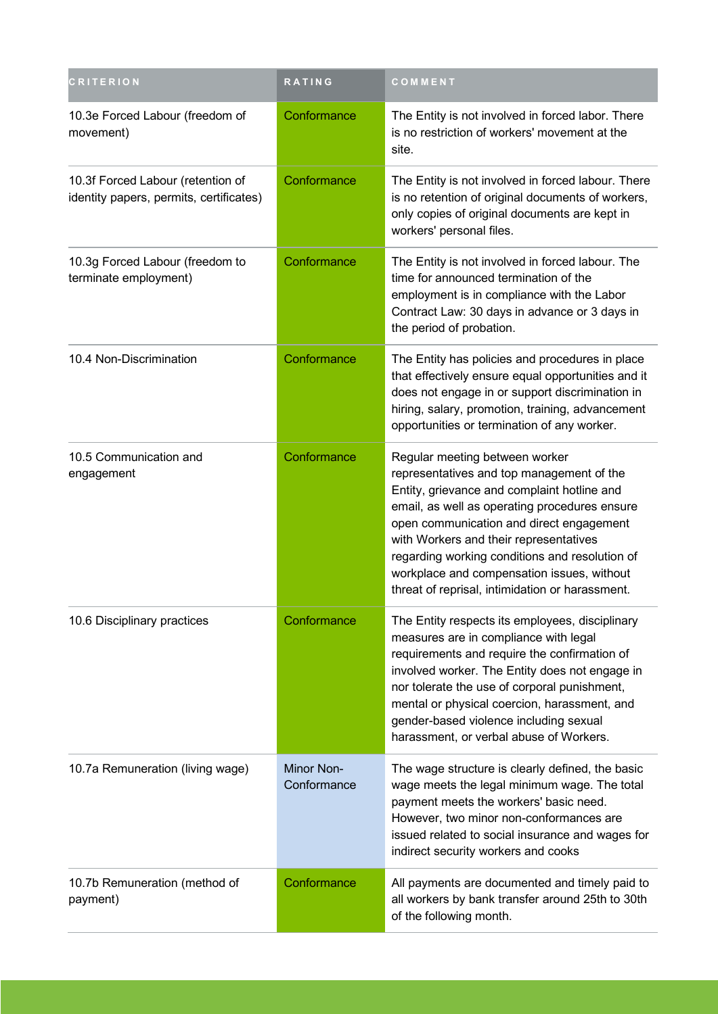| <b>CRITERION</b>                                                             | RATING                    | COMMENT                                                                                                                                                                                                                                                                                                                                                                                                              |
|------------------------------------------------------------------------------|---------------------------|----------------------------------------------------------------------------------------------------------------------------------------------------------------------------------------------------------------------------------------------------------------------------------------------------------------------------------------------------------------------------------------------------------------------|
| 10.3e Forced Labour (freedom of<br>movement)                                 | Conformance               | The Entity is not involved in forced labor. There<br>is no restriction of workers' movement at the<br>site.                                                                                                                                                                                                                                                                                                          |
| 10.3f Forced Labour (retention of<br>identity papers, permits, certificates) | Conformance               | The Entity is not involved in forced labour. There<br>is no retention of original documents of workers,<br>only copies of original documents are kept in<br>workers' personal files.                                                                                                                                                                                                                                 |
| 10.3g Forced Labour (freedom to<br>terminate employment)                     | Conformance               | The Entity is not involved in forced labour. The<br>time for announced termination of the<br>employment is in compliance with the Labor<br>Contract Law: 30 days in advance or 3 days in<br>the period of probation.                                                                                                                                                                                                 |
| 10.4 Non-Discrimination                                                      | Conformance               | The Entity has policies and procedures in place<br>that effectively ensure equal opportunities and it<br>does not engage in or support discrimination in<br>hiring, salary, promotion, training, advancement<br>opportunities or termination of any worker.                                                                                                                                                          |
| 10.5 Communication and<br>engagement                                         | Conformance               | Regular meeting between worker<br>representatives and top management of the<br>Entity, grievance and complaint hotline and<br>email, as well as operating procedures ensure<br>open communication and direct engagement<br>with Workers and their representatives<br>regarding working conditions and resolution of<br>workplace and compensation issues, without<br>threat of reprisal, intimidation or harassment. |
| 10.6 Disciplinary practices                                                  | Conformance               | The Entity respects its employees, disciplinary<br>measures are in compliance with legal<br>requirements and require the confirmation of<br>involved worker. The Entity does not engage in<br>nor tolerate the use of corporal punishment,<br>mental or physical coercion, harassment, and<br>gender-based violence including sexual<br>harassment, or verbal abuse of Workers.                                      |
| 10.7a Remuneration (living wage)                                             | Minor Non-<br>Conformance | The wage structure is clearly defined, the basic<br>wage meets the legal minimum wage. The total<br>payment meets the workers' basic need.<br>However, two minor non-conformances are<br>issued related to social insurance and wages for<br>indirect security workers and cooks                                                                                                                                     |
| 10.7b Remuneration (method of<br>payment)                                    | Conformance               | All payments are documented and timely paid to<br>all workers by bank transfer around 25th to 30th<br>of the following month.                                                                                                                                                                                                                                                                                        |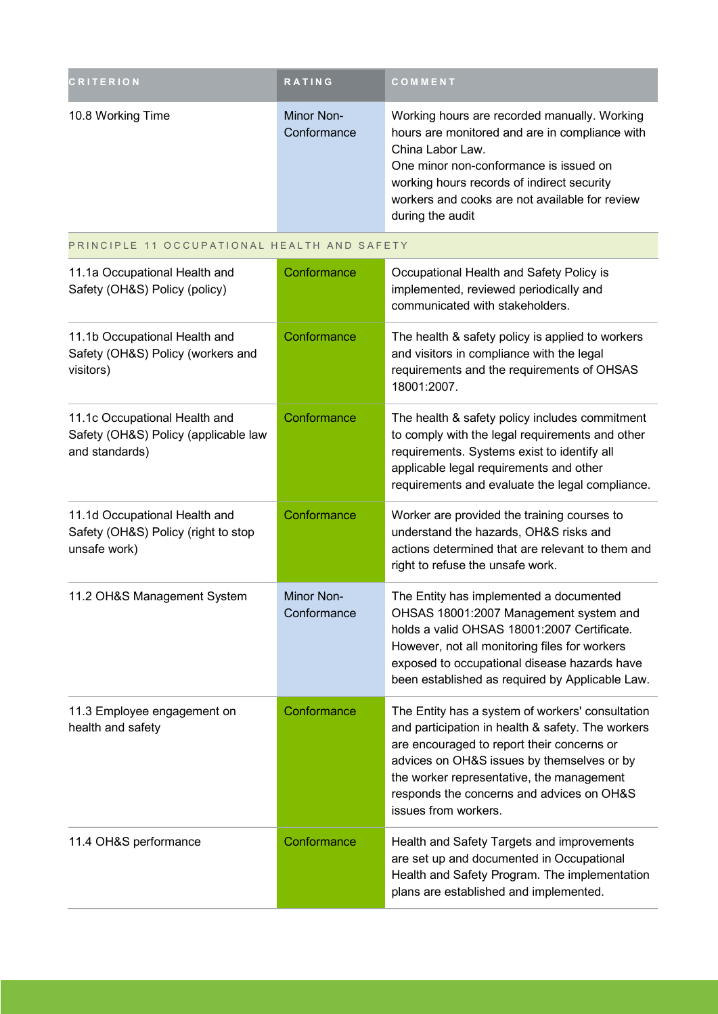| <b>CRITERION</b>  | <b>RATING</b>             | COMMENT                                                                                                                                                                                                                                                                          |
|-------------------|---------------------------|----------------------------------------------------------------------------------------------------------------------------------------------------------------------------------------------------------------------------------------------------------------------------------|
| 10.8 Working Time | Minor Non-<br>Conformance | Working hours are recorded manually. Working<br>hours are monitored and are in compliance with<br>China Labor Law.<br>One minor non-conformance is issued on<br>working hours records of indirect security<br>workers and cooks are not available for review<br>during the audit |

PRINCIPLE 11 OCCUPATIONAL HEALTH AND SAFETY

| 11.1a Occupational Health and<br>Safety (OH&S) Policy (policy)                          | Conformance               | Occupational Health and Safety Policy is<br>implemented, reviewed periodically and<br>communicated with stakeholders.                                                                                                                                                                                               |
|-----------------------------------------------------------------------------------------|---------------------------|---------------------------------------------------------------------------------------------------------------------------------------------------------------------------------------------------------------------------------------------------------------------------------------------------------------------|
| 11.1b Occupational Health and<br>Safety (OH&S) Policy (workers and<br>visitors)         | Conformance               | The health & safety policy is applied to workers<br>and visitors in compliance with the legal<br>requirements and the requirements of OHSAS<br>18001:2007.                                                                                                                                                          |
| 11.1c Occupational Health and<br>Safety (OH&S) Policy (applicable law<br>and standards) | Conformance               | The health & safety policy includes commitment<br>to comply with the legal requirements and other<br>requirements. Systems exist to identify all<br>applicable legal requirements and other<br>requirements and evaluate the legal compliance.                                                                      |
| 11.1d Occupational Health and<br>Safety (OH&S) Policy (right to stop<br>unsafe work)    | Conformance               | Worker are provided the training courses to<br>understand the hazards, OH&S risks and<br>actions determined that are relevant to them and<br>right to refuse the unsafe work.                                                                                                                                       |
| 11.2 OH&S Management System                                                             | Minor Non-<br>Conformance | The Entity has implemented a documented<br>OHSAS 18001:2007 Management system and<br>holds a valid OHSAS 18001:2007 Certificate.<br>However, not all monitoring files for workers<br>exposed to occupational disease hazards have<br>been established as required by Applicable Law.                                |
| 11.3 Employee engagement on<br>health and safety                                        | Conformance               | The Entity has a system of workers' consultation<br>and participation in health & safety. The workers<br>are encouraged to report their concerns or<br>advices on OH&S issues by themselves or by<br>the worker representative, the management<br>responds the concerns and advices on OH&S<br>issues from workers. |
| 11.4 OH&S performance                                                                   | Conformance               | Health and Safety Targets and improvements<br>are set up and documented in Occupational<br>Health and Safety Program. The implementation<br>plans are established and implemented.                                                                                                                                  |